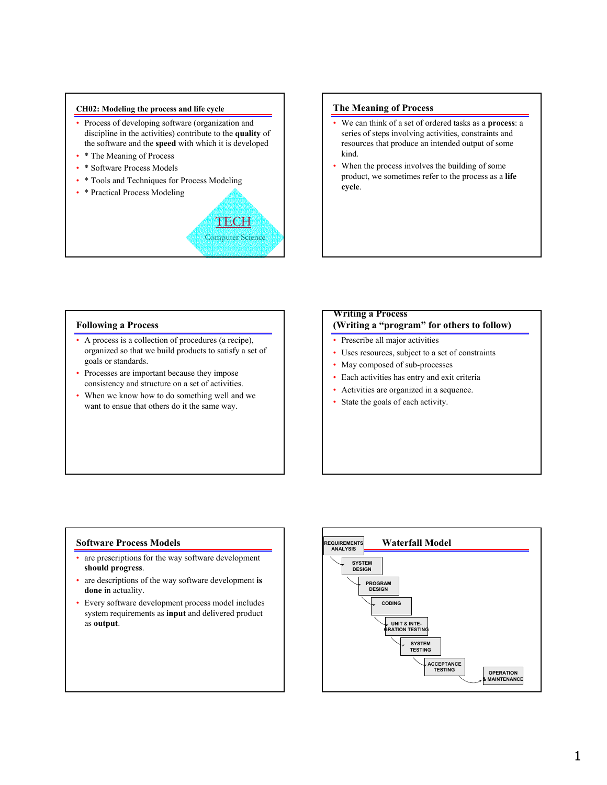#### **CH02: Modeling the process and life cycle**

- Process of developing software (organization and discipline in the activities) contribute to the **quality** of the software and the **speed** with which it is developed
- \* The Meaning of Process
- \* Software Process Models
- \* Tools and Techniques for Process Modeling
- \* Practical Process Modeling

# **TECH** Computer Science

## **The Meaning of Process**

- We can think of a set of ordered tasks as a **process**: a series of steps involving activities, constraints and resources that produce an intended output of some kind.
- When the process involves the building of some product, we sometimes refer to the process as a **life cycle**.

## **Following a Process**

- A process is a collection of procedures (a recipe), organized so that we build products to satisfy a set of goals or standards.
- Processes are important because they impose consistency and structure on a set of activities.
- When we know how to do something well and we want to ensue that others do it the same way.

# **Writing a Process (Writing a "program" for others to follow)**

- Prescribe all major activities
- Uses resources, subject to a set of constraints
- May composed of sub-processes
- Each activities has entry and exit criteria
- Activities are organized in a sequence.
- State the goals of each activity.

#### **Software Process Models**

- are prescriptions for the way software development **should progress**.
- are descriptions of the way software development **is done** in actuality.
- Every software development process model includes system requirements as **input** and delivered product as **output**.

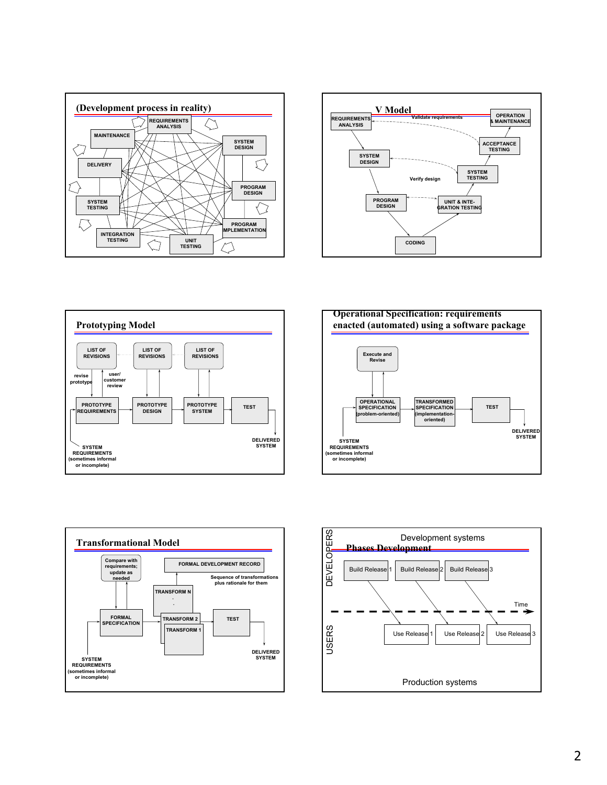









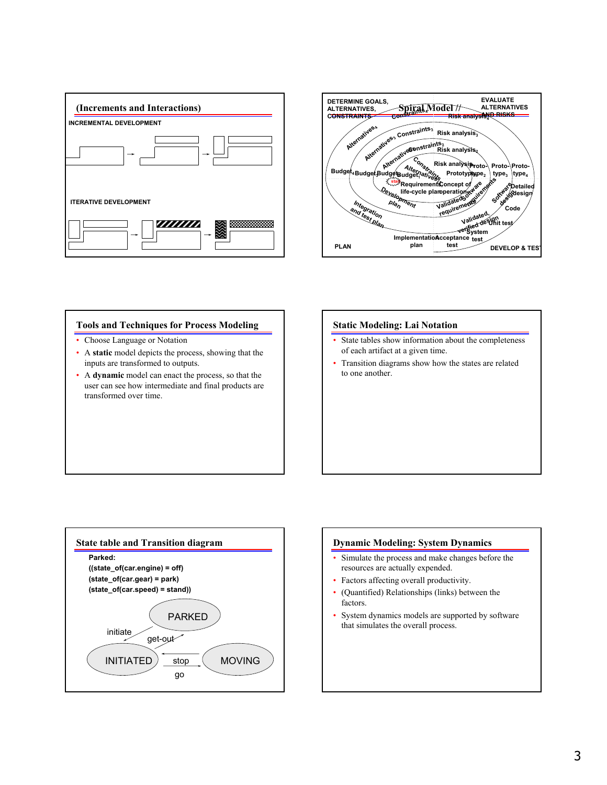



## **Tools and Techniques for Process Modeling**

- Choose Language or Notation
- A **static** model depicts the process, showing that the inputs are transformed to outputs.
- A **dynamic** model can enact the process, so that the user can see how intermediate and final products are transformed over time.

#### **Static Modeling: Lai Notation**

- State tables show information about the completeness of each artifact at a given time.
- Transition diagrams show how the states are related to one another.



# **Dynamic Modeling: System Dynamics** Simulate the process and make changes before the resources are actually expended. • Factors affecting overall productivity.

- 
- (Quantified) Relationships (links) between the factors.
- System dynamics models are supported by software that simulates the overall process.